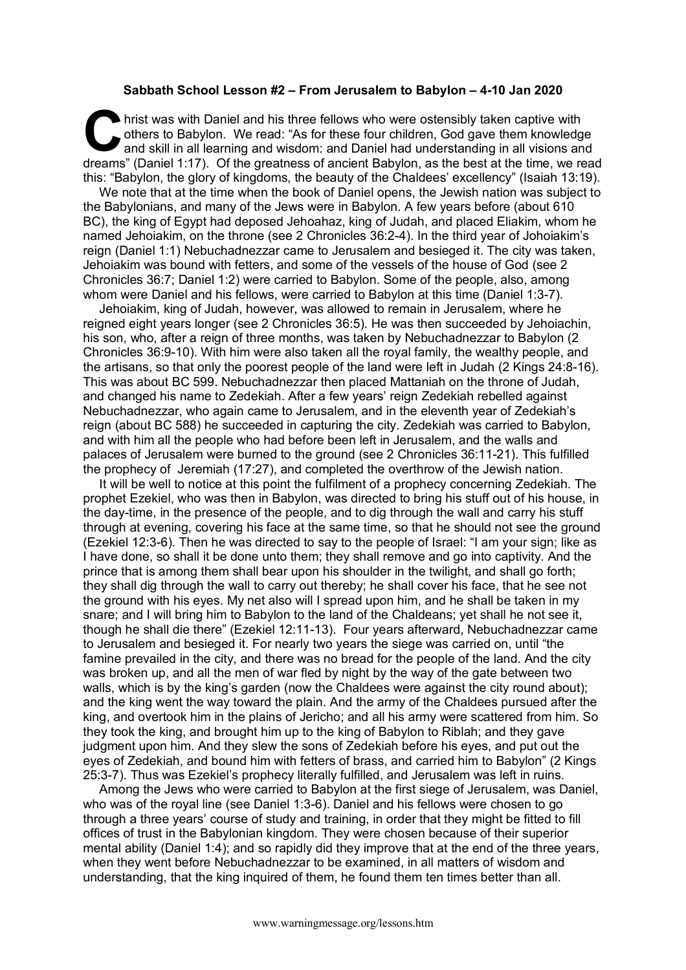## **Sabbath School Lesson #2 – From Jerusalem to Babylon – 4-10 Jan 2020**

hrist was with Daniel and his three fellows who were ostensibly taken captive with others to Babylon. We read: "As for these four children, God gave them knowledge and skill in all learning and wisdom: and Daniel had under others to Babylon. We read: "As for these four children, God gave them knowledge and skill in all learning and wisdom: and Daniel had understanding in all visions and dreams" (Daniel 1:17). Of the greatness of ancient Babylon, as the best at the time, we read this: "Babylon, the glory of kingdoms, the beauty of the Chaldees' excellency" (Isaiah 13:19).

We note that at the time when the book of Daniel opens, the Jewish nation was subject to the Babylonians, and many of the Jews were in Babylon. A few years before (about 610 BC), the king of Egypt had deposed Jehoahaz, king of Judah, and placed Eliakim, whom he named Jehoiakim, on the throne (see 2 Chronicles 36:2-4). In the third year of Johoiakim's reign (Daniel 1:1) Nebuchadnezzar came to Jerusalem and besieged it. The city was taken, Jehoiakim was bound with fetters, and some of the vessels of the house of God (see 2 Chronicles 36:7; Daniel 1:2) were carried to Babylon. Some of the people, also, among whom were Daniel and his fellows, were carried to Babylon at this time (Daniel 1:3-7).

Jehoiakim, king of Judah, however, was allowed to remain in Jerusalem, where he reigned eight years longer (see 2 Chronicles 36:5). He was then succeeded by Jehoiachin, his son, who, after a reign of three months, was taken by Nebuchadnezzar to Babylon (2 Chronicles 36:9-10). With him were also taken all the royal family, the wealthy people, and the artisans, so that only the poorest people of the land were left in Judah (2 Kings 24:8-16). This was about BC 599. Nebuchadnezzar then placed Mattaniah on the throne of Judah, and changed his name to Zedekiah. After a few years' reign Zedekiah rebelled against Nebuchadnezzar, who again came to Jerusalem, and in the eleventh year of Zedekiah's reign (about BC 588) he succeeded in capturing the city. Zedekiah was carried to Babylon, and with him all the people who had before been left in Jerusalem, and the walls and palaces of Jerusalem were burned to the ground (see 2 Chronicles 36:11-21). This fulfilled the prophecy of Jeremiah (17:27), and completed the overthrow of the Jewish nation.

It will be well to notice at this point the fulfilment of a prophecy concerning Zedekiah. The prophet Ezekiel, who was then in Babylon, was directed to bring his stuff out of his house, in the day-time, in the presence of the people, and to dig through the wall and carry his stuff through at evening, covering his face at the same time, so that he should not see the ground (Ezekiel 12:3-6). Then he was directed to say to the people of Israel: "I am your sign; like as I have done, so shall it be done unto them; they shall remove and go into captivity. And the prince that is among them shall bear upon his shoulder in the twilight, and shall go forth; they shall dig through the wall to carry out thereby; he shall cover his face, that he see not the ground with his eyes. My net also will I spread upon him, and he shall be taken in my snare; and I will bring him to Babylon to the land of the Chaldeans; yet shall he not see it, though he shall die there" (Ezekiel 12:11-13). Four years afterward, Nebuchadnezzar came to Jerusalem and besieged it. For nearly two years the siege was carried on, until "the famine prevailed in the city, and there was no bread for the people of the land. And the city was broken up, and all the men of war fled by night by the way of the gate between two walls, which is by the king's garden (now the Chaldees were against the city round about); and the king went the way toward the plain. And the army of the Chaldees pursued after the king, and overtook him in the plains of Jericho; and all his army were scattered from him. So they took the king, and brought him up to the king of Babylon to Riblah; and they gave judgment upon him. And they slew the sons of Zedekiah before his eyes, and put out the eyes of Zedekiah, and bound him with fetters of brass, and carried him to Babylon" (2 Kings 25:3-7). Thus was Ezekiel's prophecy literally fulfilled, and Jerusalem was left in ruins.

Among the Jews who were carried to Babylon at the first siege of Jerusalem, was Daniel, who was of the royal line (see Daniel 1:3-6). Daniel and his fellows were chosen to go through a three years' course of study and training, in order that they might be fitted to fill offices of trust in the Babylonian kingdom. They were chosen because of their superior mental ability (Daniel 1:4); and so rapidly did they improve that at the end of the three years, when they went before Nebuchadnezzar to be examined, in all matters of wisdom and understanding, that the king inquired of them, he found them ten times better than all.